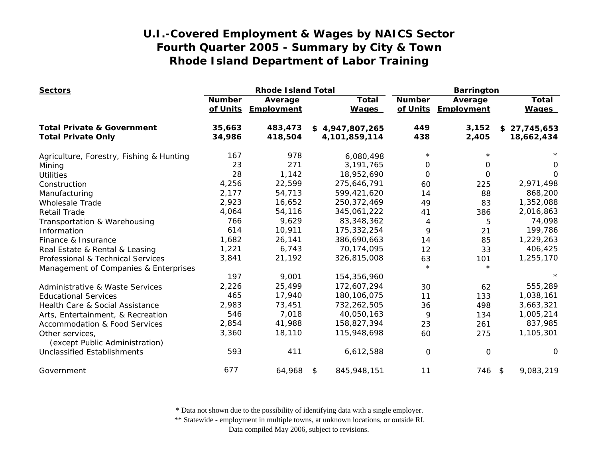| <b>Sectors</b>                                    |               | <b>Rhode Island Total</b>      |                              | <b>Barrington</b>         |                       |                              |
|---------------------------------------------------|---------------|--------------------------------|------------------------------|---------------------------|-----------------------|------------------------------|
|                                                   | <b>Number</b> | Average<br>of Units Employment | <b>Total</b><br><b>Wages</b> | <b>Number</b><br>of Units | Average<br>Employment | <b>Total</b><br><b>Wages</b> |
| <b>Total Private &amp; Government</b>             | 35,663        | 483,473                        | \$4,947,807,265              | 449                       | 3,152                 | \$27,745,653                 |
| <b>Total Private Only</b>                         | 34,986        | 418,504                        | 4,101,859,114                | 438                       | 2,405                 | 18,662,434                   |
| Agriculture, Forestry, Fishing & Hunting          | 167           | 978                            | 6,080,498                    | $\star$                   |                       |                              |
| Mining                                            | 23            | 271                            | 3,191,765                    | 0                         | 0                     | 0                            |
| <b>Utilities</b>                                  | 28            | 1,142                          | 18,952,690                   | 0                         | $\Omega$              | $\Omega$                     |
| Construction                                      | 4,256         | 22,599                         | 275,646,791                  | 60                        | 225                   | 2,971,498                    |
| Manufacturing                                     | 2,177         | 54,713                         | 599,421,620                  | 14                        | 88                    | 868,200                      |
| <b>Wholesale Trade</b>                            | 2,923         | 16,652                         | 250, 372, 469                | 49                        | 83                    | 1,352,088                    |
| <b>Retail Trade</b>                               | 4,064         | 54,116                         | 345,061,222                  | 41                        | 386                   | 2,016,863                    |
| Transportation & Warehousing                      | 766           | 9,629                          | 83,348,362                   | 4                         | 5                     | 74,098                       |
| Information                                       | 614           | 10,911                         | 175,332,254                  | 9                         | 21                    | 199,786                      |
| Finance & Insurance                               | 1,682         | 26,141                         | 386,690,663                  | 14                        | 85                    | 1,229,263                    |
| Real Estate & Rental & Leasing                    | 1,221         | 6,743                          | 70,174,095                   | 12                        | 33                    | 406,425                      |
| Professional & Technical Services                 | 3,841         | 21,192                         | 326,815,008                  | 63                        | 101                   | 1,255,170                    |
| Management of Companies & Enterprises             |               |                                |                              | $\star$                   | $\star$               |                              |
|                                                   | 197           | 9,001                          | 154,356,960                  |                           |                       |                              |
| Administrative & Waste Services                   | 2,226         | 25,499                         | 172,607,294                  | 30                        | 62                    | 555,289                      |
| <b>Educational Services</b>                       | 465           | 17,940                         | 180, 106, 075                | 11                        | 133                   | 1,038,161                    |
| Health Care & Social Assistance                   | 2,983         | 73,451                         | 732,262,505                  | 36                        | 498                   | 3,663,321                    |
| Arts, Entertainment, & Recreation                 | 546           | 7,018                          | 40,050,163                   | 9                         | 134                   | 1,005,214                    |
| <b>Accommodation &amp; Food Services</b>          | 2,854         | 41,988                         | 158,827,394                  | 23                        | 261                   | 837,985                      |
| Other services,<br>(except Public Administration) | 3,360         | 18,110                         | 115,948,698                  | 60                        | 275                   | 1,105,301                    |
| <b>Unclassified Establishments</b>                | 593           | 411                            | 6,612,588                    | $\mathbf 0$               | 0                     | 0                            |
| Government                                        | 677           | 64,968                         | 845,948,151<br>\$            | 11                        | 746 \$                | 9,083,219                    |

\* Data not shown due to the possibility of identifying data with a single employer.

\*\* Statewide - employment in multiple towns, at unknown locations, or outside RI.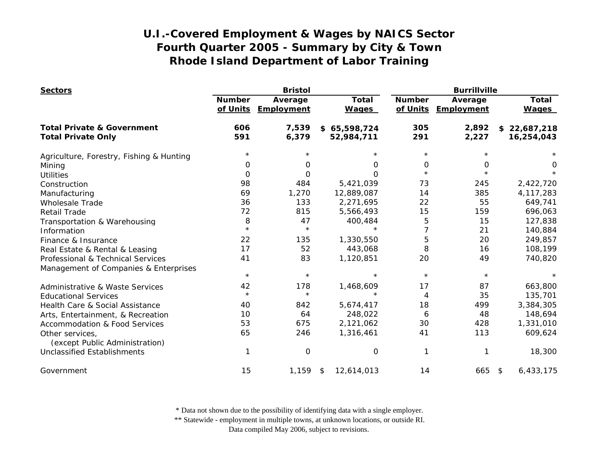| <b>Sectors</b>                                    |                           | <b>Bristol</b>        |                              | <b>Burrillville</b>       |                       |                              |
|---------------------------------------------------|---------------------------|-----------------------|------------------------------|---------------------------|-----------------------|------------------------------|
|                                                   | <b>Number</b><br>of Units | Average<br>Employment | <b>Total</b><br><b>Wages</b> | <b>Number</b><br>of Units | Average<br>Employment | <b>Total</b><br><b>Wages</b> |
| <b>Total Private &amp; Government</b>             | 606                       | 7,539                 | \$65,598,724                 | 305                       | 2,892                 | \$22,687,218                 |
| <b>Total Private Only</b>                         | 591                       | 6,379                 | 52,984,711                   | 291                       | 2,227                 | 16,254,043                   |
| Agriculture, Forestry, Fishing & Hunting          | $\star$                   |                       |                              | $^\star$                  |                       |                              |
| Mining                                            | 0                         | O                     | 0                            | 0                         | 0                     | 0                            |
| <b>Utilities</b>                                  | $\Omega$                  | 0                     | $\Omega$                     | $\star$                   | $\star$               |                              |
| Construction                                      | 98                        | 484                   | 5,421,039                    | 73                        | 245                   | 2,422,720                    |
| Manufacturing                                     | 69                        | 1,270                 | 12,889,087                   | 14                        | 385                   | 4, 117, 283                  |
| <b>Wholesale Trade</b>                            | 36                        | 133                   | 2,271,695                    | 22                        | 55                    | 649,741                      |
| <b>Retail Trade</b>                               | 72                        | 815                   | 5,566,493                    | 15                        | 159                   | 696,063                      |
| Transportation & Warehousing                      | 8                         | 47                    | 400,484                      | 5                         | 15                    | 127,838                      |
| Information                                       | $\star$                   | $\star$               |                              | 7                         | 21                    | 140,884                      |
| Finance & Insurance                               | 22                        | 135                   | 1,330,550                    | 5                         | 20                    | 249,857                      |
| Real Estate & Rental & Leasing                    | 17                        | 52                    | 443,068                      | 8                         | 16                    | 108,199                      |
| Professional & Technical Services                 | 41                        | 83                    | 1,120,851                    | 20                        | 49                    | 740,820                      |
| Management of Companies & Enterprises             |                           |                       |                              |                           |                       |                              |
|                                                   | $\star$                   | $\star$               | $\star$                      | $\star$                   | $\star$               |                              |
| <b>Administrative &amp; Waste Services</b>        | 42                        | 178                   | 1,468,609                    | 17                        | 87                    | 663,800                      |
| <b>Educational Services</b>                       | $\star$                   | $\star$               | $\star$                      | 4                         | 35                    | 135,701                      |
| Health Care & Social Assistance                   | 40                        | 842                   | 5,674,417                    | 18                        | 499                   | 3,384,305                    |
| Arts, Entertainment, & Recreation                 | 10                        | 64                    | 248,022                      | 6                         | 48                    | 148,694                      |
| <b>Accommodation &amp; Food Services</b>          | 53                        | 675                   | 2,121,062                    | 30                        | 428                   | 1,331,010                    |
| Other services,<br>(except Public Administration) | 65                        | 246                   | 1,316,461                    | 41                        | 113                   | 609,624                      |
| <b>Unclassified Establishments</b>                |                           | 0                     | $\mathbf 0$                  | 1                         | 1                     | 18,300                       |
| Government                                        | 15                        | 1,159                 | 12,614,013<br>\$             | 14                        | 665 \$                | 6,433,175                    |

\* Data not shown due to the possibility of identifying data with a single employer.

\*\* Statewide - employment in multiple towns, at unknown locations, or outside RI.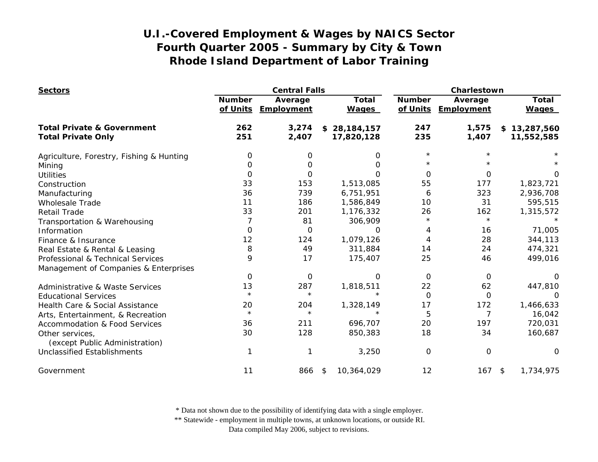| <b>Sectors</b>                                    |                           | <b>Central Falls</b>         |                              | Charlestown   |                                |                              |
|---------------------------------------------------|---------------------------|------------------------------|------------------------------|---------------|--------------------------------|------------------------------|
|                                                   | <b>Number</b><br>of Units | Average<br><b>Employment</b> | <b>Total</b><br><b>Wages</b> | <b>Number</b> | Average<br>of Units Employment | <b>Total</b><br><b>Wages</b> |
| <b>Total Private &amp; Government</b>             | 262                       | 3,274                        | \$28,184,157                 | 247           | 1,575                          | \$13,287,560                 |
| <b>Total Private Only</b>                         | 251                       | 2,407                        | 17,820,128                   | 235           | 1,407                          | 11,552,585                   |
| Agriculture, Forestry, Fishing & Hunting          | 0                         | 0                            | 0                            | $\star$       |                                |                              |
| Mining                                            | O                         | 0                            | 0                            |               |                                |                              |
| <b>Utilities</b>                                  | 0                         | 0                            | Ω                            | $\Omega$      | 0                              | Ω                            |
| Construction                                      | 33                        | 153                          | 1,513,085                    | 55            | 177                            | 1,823,721                    |
| Manufacturing                                     | 36                        | 739                          | 6,751,951                    | 6             | 323                            | 2,936,708                    |
| <b>Wholesale Trade</b>                            | 11                        | 186                          | 1,586,849                    | 10            | 31                             | 595,515                      |
| <b>Retail Trade</b>                               | 33                        | 201                          | 1,176,332                    | 26            | 162                            | 1,315,572                    |
| Transportation & Warehousing                      |                           | 81                           | 306,909                      | $\star$       | $\star$                        |                              |
| Information                                       | 0                         | $\Omega$                     | O                            | 4             | 16                             | 71,005                       |
| Finance & Insurance                               | 12                        | 124                          | 1,079,126                    | 4             | 28                             | 344,113                      |
| Real Estate & Rental & Leasing                    | 8                         | 49                           | 311,884                      | 14            | 24                             | 474,321                      |
| Professional & Technical Services                 | 9                         | 17                           | 175,407                      | 25            | 46                             | 499,016                      |
| Management of Companies & Enterprises             |                           |                              |                              |               |                                |                              |
|                                                   | 0                         | 0                            | O                            | $\Omega$      | 0                              |                              |
| <b>Administrative &amp; Waste Services</b>        | 13                        | 287                          | 1,818,511                    | 22            | 62                             | 447,810                      |
| <b>Educational Services</b>                       | $\star$                   | $\star$                      | $\star$                      | 0             | 0                              | $\Omega$                     |
| Health Care & Social Assistance                   | 20                        | 204                          | 1,328,149                    | 17            | 172                            | 1,466,633                    |
| Arts, Entertainment, & Recreation                 | $\star$                   | $\star$                      | $\star$                      | 5             | 7                              | 16,042                       |
| <b>Accommodation &amp; Food Services</b>          | 36                        | 211                          | 696,707                      | 20            | 197                            | 720,031                      |
| Other services,<br>(except Public Administration) | 30                        | 128                          | 850,383                      | 18            | 34                             | 160,687                      |
| <b>Unclassified Establishments</b>                |                           |                              | 3,250                        | $\Omega$      | $\mathbf 0$                    | O                            |
| Government                                        | 11                        | 866                          | 10,364,029<br>\$             | 12            | $167$ \$                       | 1,734,975                    |

\* Data not shown due to the possibility of identifying data with a single employer.

\*\* Statewide - employment in multiple towns, at unknown locations, or outside RI.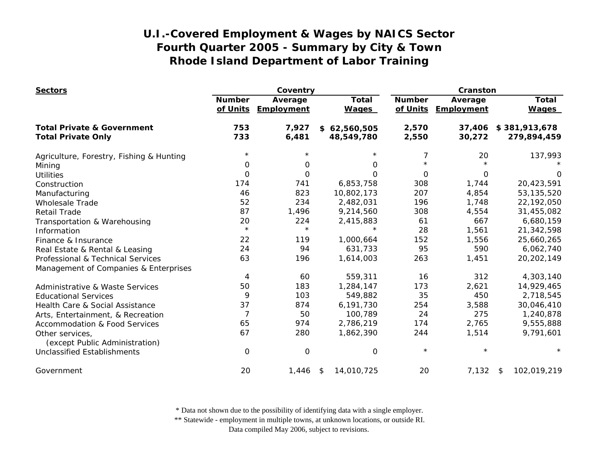| <b>Sectors</b>                                    |                           | Coventry              |                              | Cranston                  |                       |                              |
|---------------------------------------------------|---------------------------|-----------------------|------------------------------|---------------------------|-----------------------|------------------------------|
|                                                   | <b>Number</b><br>of Units | Average<br>Employment | <b>Total</b><br><b>Wages</b> | <b>Number</b><br>of Units | Average<br>Employment | <b>Total</b><br><b>Wages</b> |
| <b>Total Private &amp; Government</b>             | 753                       | 7,927                 | \$62,560,505                 | 2,570                     | 37,406                | \$381,913,678                |
| <b>Total Private Only</b>                         | 733                       | 6,481                 | 48,549,780                   | 2,550                     | 30,272                | 279,894,459                  |
| Agriculture, Forestry, Fishing & Hunting          | $^\star$                  |                       |                              | 7                         | 20                    | 137,993                      |
| Mining                                            | 0                         | 0                     | 0                            | $\star$                   |                       |                              |
| <b>Utilities</b>                                  | $\Omega$                  | 0                     | $\Omega$                     | 0                         | 0                     | O                            |
| Construction                                      | 174                       | 741                   | 6,853,758                    | 308                       | 1,744                 | 20,423,591                   |
| Manufacturing                                     | 46                        | 823                   | 10,802,173                   | 207                       | 4,854                 | 53, 135, 520                 |
| <b>Wholesale Trade</b>                            | 52                        | 234                   | 2,482,031                    | 196                       | 1,748                 | 22,192,050                   |
| <b>Retail Trade</b>                               | 87                        | 1,496                 | 9,214,560                    | 308                       | 4,554                 | 31,455,082                   |
| Transportation & Warehousing                      | 20                        | 224                   | 2,415,883                    | 61                        | 667                   | 6,680,159                    |
| Information                                       | $\star$                   | $\star$               |                              | 28                        | 1,561                 | 21,342,598                   |
| Finance & Insurance                               | 22                        | 119                   | 1,000,664                    | 152                       | 1,556                 | 25,660,265                   |
| Real Estate & Rental & Leasing                    | 24                        | 94                    | 631,733                      | 95                        | 590                   | 6,062,740                    |
| Professional & Technical Services                 | 63                        | 196                   | 1,614,003                    | 263                       | 1,451                 | 20, 202, 149                 |
| Management of Companies & Enterprises             |                           |                       |                              |                           |                       |                              |
|                                                   | 4                         | 60                    | 559,311                      | 16                        | 312                   | 4,303,140                    |
| <b>Administrative &amp; Waste Services</b>        | 50                        | 183                   | 1,284,147                    | 173                       | 2,621                 | 14,929,465                   |
| <b>Educational Services</b>                       | 9                         | 103                   | 549,882                      | 35                        | 450                   | 2,718,545                    |
| Health Care & Social Assistance                   | 37                        | 874                   | 6,191,730                    | 254                       | 3,588                 | 30,046,410                   |
| Arts, Entertainment, & Recreation                 | $\overline{7}$            | 50                    | 100,789                      | 24                        | 275                   | 1,240,878                    |
| <b>Accommodation &amp; Food Services</b>          | 65                        | 974                   | 2,786,219                    | 174                       | 2,765                 | 9,555,888                    |
| Other services,<br>(except Public Administration) | 67                        | 280                   | 1,862,390                    | 244                       | 1,514                 | 9,791,601                    |
| <b>Unclassified Establishments</b>                | $\Omega$                  | $\mathbf 0$           | 0                            | $\star$                   | $\star$               |                              |
| Government                                        | 20                        | 1,446                 | 14,010,725<br>\$             | 20                        | 7,132                 | 102,019,219<br>\$            |

\* Data not shown due to the possibility of identifying data with a single employer.

\*\* Statewide - employment in multiple towns, at unknown locations, or outside RI.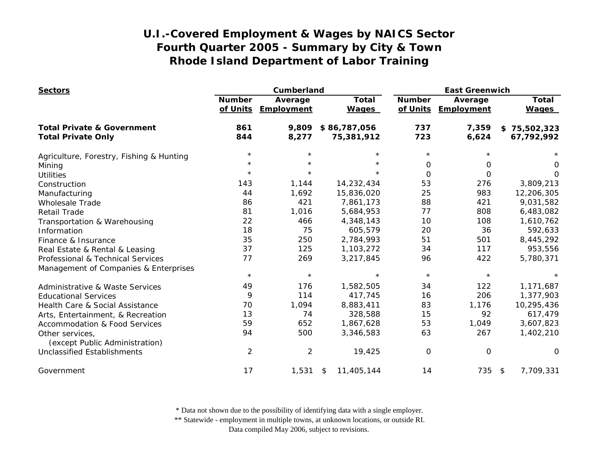| <b>Sectors</b>                                    |                           | Cumberland            |                              | <b>East Greenwich</b>     |                       |                              |
|---------------------------------------------------|---------------------------|-----------------------|------------------------------|---------------------------|-----------------------|------------------------------|
|                                                   | <b>Number</b><br>of Units | Average<br>Employment | <b>Total</b><br><b>Wages</b> | <b>Number</b><br>of Units | Average<br>Employment | <b>Total</b><br><b>Wages</b> |
| <b>Total Private &amp; Government</b>             | 861                       | 9,809                 | \$86,787,056                 | 737                       | 7,359                 | \$75,502,323                 |
| <b>Total Private Only</b>                         | 844                       | 8,277                 | 75,381,912                   | 723                       | 6,624                 | 67,792,992                   |
| Agriculture, Forestry, Fishing & Hunting          | $^\star$                  |                       | $\star$                      | $\star$                   |                       |                              |
| Mining                                            | $^\star$                  | $\star$               | $\star$                      | 0                         | 0                     | 0                            |
| <b>Utilities</b>                                  | $\star$                   | $\star$               | $\star$                      | $\Omega$                  | $\Omega$              | $\Omega$                     |
| Construction                                      | 143                       | 1,144                 | 14,232,434                   | 53                        | 276                   | 3,809,213                    |
| Manufacturing                                     | 44                        | 1,692                 | 15,836,020                   | 25                        | 983                   | 12,206,305                   |
| <b>Wholesale Trade</b>                            | 86                        | 421                   | 7,861,173                    | 88                        | 421                   | 9,031,582                    |
| <b>Retail Trade</b>                               | 81                        | 1,016                 | 5,684,953                    | 77                        | 808                   | 6,483,082                    |
| Transportation & Warehousing                      | 22                        | 466                   | 4,348,143                    | 10                        | 108                   | 1,610,762                    |
| Information                                       | 18                        | 75                    | 605,579                      | 20                        | 36                    | 592,633                      |
| Finance & Insurance                               | 35                        | 250                   | 2,784,993                    | 51                        | 501                   | 8,445,292                    |
| Real Estate & Rental & Leasing                    | 37                        | 125                   | 1,103,272                    | 34                        | 117                   | 953,556                      |
| Professional & Technical Services                 | 77                        | 269                   | 3,217,845                    | 96                        | 422                   | 5,780,371                    |
| Management of Companies & Enterprises             |                           |                       |                              |                           |                       |                              |
|                                                   | $\star$                   | $\star$               | $\star$                      | $\star$                   | $\star$               | $\star$                      |
| Administrative & Waste Services                   | 49                        | 176                   | 1,582,505                    | 34                        | 122                   | 1,171,687                    |
| <b>Educational Services</b>                       | 9                         | 114                   | 417,745                      | 16                        | 206                   | 1,377,903                    |
| Health Care & Social Assistance                   | 70                        | 1,094                 | 8,883,411                    | 83                        | 1,176                 | 10,295,436                   |
| Arts, Entertainment, & Recreation                 | 13                        | 74                    | 328,588                      | 15                        | 92                    | 617,479                      |
| <b>Accommodation &amp; Food Services</b>          | 59                        | 652                   | 1,867,628                    | 53                        | 1,049                 | 3,607,823                    |
| Other services,<br>(except Public Administration) | 94                        | 500                   | 3,346,583                    | 63                        | 267                   | 1,402,210                    |
| <b>Unclassified Establishments</b>                | $\overline{2}$            | $\overline{2}$        | 19,425                       | O                         | $\mathbf 0$           | $\Omega$                     |
| Government                                        | 17                        | 1,531                 | 11,405,144<br>\$             | 14                        | 735 \$                | 7,709,331                    |

\* Data not shown due to the possibility of identifying data with a single employer.

\*\* Statewide - employment in multiple towns, at unknown locations, or outside RI.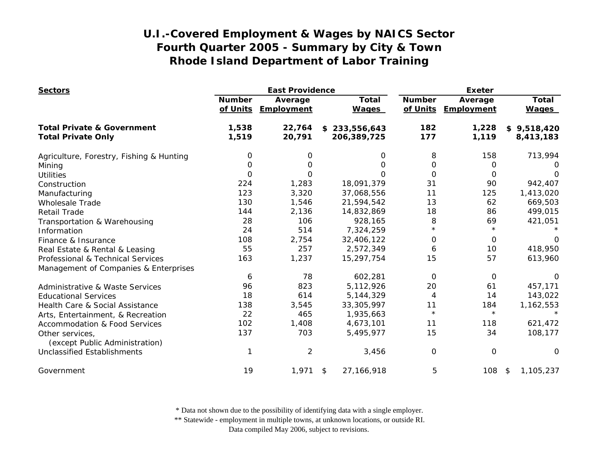| <b>Sectors</b>                                    |               | <b>East Providence</b>         |                              | <b>Exeter</b> |                                |                              |
|---------------------------------------------------|---------------|--------------------------------|------------------------------|---------------|--------------------------------|------------------------------|
|                                                   | <b>Number</b> | Average<br>of Units Employment | <b>Total</b><br><b>Wages</b> | <b>Number</b> | Average<br>of Units Employment | <b>Total</b><br><b>Wages</b> |
| <b>Total Private &amp; Government</b>             | 1,538         | 22,764                         | \$233,556,643                | 182           | 1,228                          | \$9,518,420                  |
| <b>Total Private Only</b>                         | 1,519         | 20,791                         | 206,389,725                  | 177           | 1,119                          | 8,413,183                    |
| Agriculture, Forestry, Fishing & Hunting          | 0             | 0                              | 0                            | 8             | 158                            | 713,994                      |
| Mining                                            | 0             | 0                              | O                            | 0             | 0                              | $\Omega$                     |
| <b>Utilities</b>                                  | $\Omega$      | 0                              | 0                            | $\Omega$      | 0                              | O                            |
| Construction                                      | 224           | 1,283                          | 18,091,379                   | 31            | 90                             | 942,407                      |
| Manufacturing                                     | 123           | 3,320                          | 37,068,556                   | 11            | 125                            | 1,413,020                    |
| <b>Wholesale Trade</b>                            | 130           | 1,546                          | 21,594,542                   | 13            | 62                             | 669,503                      |
| <b>Retail Trade</b>                               | 144           | 2,136                          | 14,832,869                   | 18            | 86                             | 499,015                      |
| Transportation & Warehousing                      | 28            | 106                            | 928,165                      | 8             | 69                             | 421,051                      |
| Information                                       | 24            | 514                            | 7,324,259                    | $^\star$      | $\star$                        |                              |
| Finance & Insurance                               | 108           | 2,754                          | 32,406,122                   | 0             | 0                              | 0                            |
| Real Estate & Rental & Leasing                    | 55            | 257                            | 2,572,349                    | 6             | 10                             | 418,950                      |
| Professional & Technical Services                 | 163           | 1,237                          | 15,297,754                   | 15            | 57                             | 613,960                      |
| Management of Companies & Enterprises             |               |                                |                              |               |                                |                              |
|                                                   | 6             | 78                             | 602,281                      | 0             | 0                              | $\Omega$                     |
| <b>Administrative &amp; Waste Services</b>        | 96            | 823                            | 5,112,926                    | 20            | 61                             | 457,171                      |
| <b>Educational Services</b>                       | 18            | 614                            | 5,144,329                    | 4             | 14                             | 143,022                      |
| Health Care & Social Assistance                   | 138           | 3,545                          | 33,305,997                   | 11            | 184                            | 1,162,553                    |
| Arts, Entertainment, & Recreation                 | 22            | 465                            | 1,935,663                    | $\star$       | $\star$                        |                              |
| <b>Accommodation &amp; Food Services</b>          | 102           | 1,408                          | 4,673,101                    | 11            | 118                            | 621,472                      |
| Other services,<br>(except Public Administration) | 137           | 703                            | 5,495,977                    | 15            | 34                             | 108,177                      |
| <b>Unclassified Establishments</b>                |               | $\overline{2}$                 | 3,456                        | $\mathbf 0$   | 0                              | 0                            |
| Government                                        | 19            | 1,971                          | 27, 166, 918<br>\$           | 5             | 108                            | 1,105,237<br>$\sqrt{5}$      |

\* Data not shown due to the possibility of identifying data with a single employer.

\*\* Statewide - employment in multiple towns, at unknown locations, or outside RI.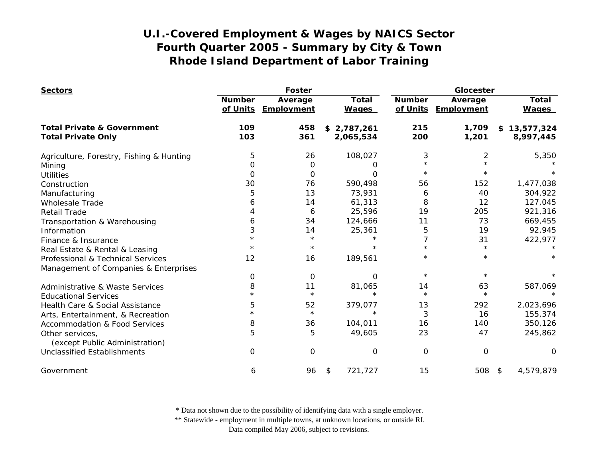| <b>Sectors</b>                                    |                           | <b>Foster</b>         |                              | Glocester                 |                       |                              |
|---------------------------------------------------|---------------------------|-----------------------|------------------------------|---------------------------|-----------------------|------------------------------|
|                                                   | <b>Number</b><br>of Units | Average<br>Employment | <b>Total</b><br><b>Wages</b> | <b>Number</b><br>of Units | Average<br>Employment | <b>Total</b><br><b>Wages</b> |
| <b>Total Private &amp; Government</b>             | 109                       | 458                   | \$2,787,261                  | 215                       | 1,709                 | \$13,577,324                 |
| <b>Total Private Only</b>                         | 103                       | 361                   | 2,065,534                    | 200                       | 1,201                 | 8,997,445                    |
| Agriculture, Forestry, Fishing & Hunting          | 5                         | 26                    | 108,027                      | 3                         | $\overline{2}$        | 5,350                        |
| Mining                                            | O                         | 0                     | O                            | $\star$                   |                       |                              |
| <b>Utilities</b>                                  | 0                         | $\Omega$              | O                            | $^\star$                  |                       |                              |
| Construction                                      | 30                        | 76                    | 590,498                      | 56                        | 152                   | 1,477,038                    |
| Manufacturing                                     | 5                         | 13                    | 73,931                       | 6                         | 40                    | 304,922                      |
| <b>Wholesale Trade</b>                            | 6                         | 14                    | 61,313                       | 8                         | 12                    | 127,045                      |
| <b>Retail Trade</b>                               |                           | 6                     | 25,596                       | 19                        | 205                   | 921,316                      |
| Transportation & Warehousing                      | 6                         | 34                    | 124,666                      | 11                        | 73                    | 669,455                      |
| Information                                       | 3                         | 14                    | 25,361                       | 5                         | 19                    | 92,945                       |
| Finance & Insurance                               |                           | $\star$               |                              | 7                         | 31                    | 422,977                      |
| Real Estate & Rental & Leasing                    |                           | $\star$               |                              |                           | $^\star$              |                              |
| Professional & Technical Services                 | 12                        | 16                    | 189,561                      | $^\star$                  | $^\star$              |                              |
| Management of Companies & Enterprises             |                           |                       |                              |                           |                       |                              |
|                                                   | 0                         | $\mathbf 0$           | $\Omega$                     | $\star$                   | $\star$               |                              |
| Administrative & Waste Services                   | 8                         | 11                    | 81,065                       | 14                        | 63                    | 587,069                      |
| <b>Educational Services</b>                       | $\star$                   | $\star$               | $\star$                      | $\star$                   | $\star$               |                              |
| Health Care & Social Assistance                   | 5                         | 52                    | 379,077                      | 13                        | 292                   | 2,023,696                    |
| Arts, Entertainment, & Recreation                 | $\star$                   | $\star$               | $\star$                      | 3                         | 16                    | 155,374                      |
| <b>Accommodation &amp; Food Services</b>          | 8                         | 36                    | 104,011                      | 16                        | 140                   | 350,126                      |
| Other services,<br>(except Public Administration) | 5                         | 5                     | 49,605                       | 23                        | 47                    | 245,862                      |
| <b>Unclassified Establishments</b>                | $\Omega$                  | 0                     | 0                            | 0                         | $\mathbf 0$           | $\Omega$                     |
| Government                                        | 6                         | 96                    | 721,727<br>\$                | 15                        | 508 \$                | 4,579,879                    |

\* Data not shown due to the possibility of identifying data with a single employer.

\*\* Statewide - employment in multiple towns, at unknown locations, or outside RI.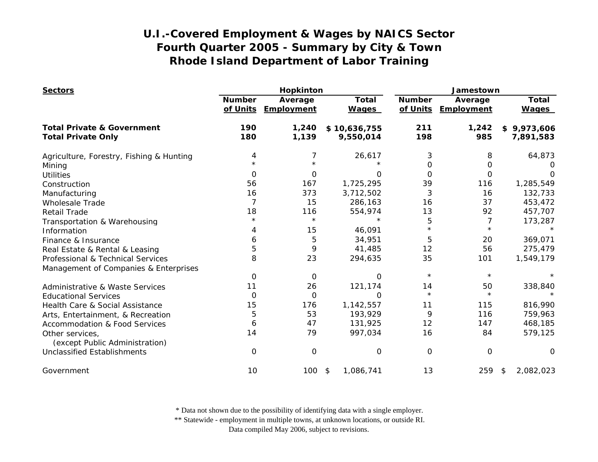| <b>Sectors</b>                                    |               | Hopkinton                      |                              | Jamestown                 |                              |                              |
|---------------------------------------------------|---------------|--------------------------------|------------------------------|---------------------------|------------------------------|------------------------------|
|                                                   | <b>Number</b> | Average<br>of Units Employment | <b>Total</b><br><b>Wages</b> | <b>Number</b><br>of Units | Average<br><b>Employment</b> | <b>Total</b><br><b>Wages</b> |
| <b>Total Private &amp; Government</b>             | 190           | 1,240                          | \$10,636,755                 | 211                       | 1,242                        | \$9,973,606                  |
| <b>Total Private Only</b>                         | 180           | 1,139                          | 9,550,014                    | 198                       | 985                          | 7,891,583                    |
| Agriculture, Forestry, Fishing & Hunting          | 4             | 7                              | 26,617                       | 3                         | 8                            | 64,873                       |
| Mining                                            |               |                                |                              | 0                         | 0                            |                              |
| <b>Utilities</b>                                  | $\Omega$      | $\Omega$                       | O                            | $\Omega$                  | $\Omega$                     | ∩                            |
| Construction                                      | 56            | 167                            | 1,725,295                    | 39                        | 116                          | 1,285,549                    |
| Manufacturing                                     | 16            | 373                            | 3,712,502                    | 3                         | 16                           | 132,733                      |
| <b>Wholesale Trade</b>                            |               | 15                             | 286,163                      | 16                        | 37                           | 453,472                      |
| <b>Retail Trade</b>                               | 18            | 116                            | 554,974                      | 13                        | 92                           | 457,707                      |
| Transportation & Warehousing                      | $\star$       | $\star$                        | $\star$                      | 5                         | 7                            | 173,287                      |
| Information                                       | 4             | 15                             | 46,091                       | $\star$                   | $\star$                      |                              |
| Finance & Insurance                               | 6             | 5                              | 34,951                       | 5                         | 20                           | 369,071                      |
| Real Estate & Rental & Leasing                    | 5             | 9                              | 41,485                       | 12                        | 56                           | 275,479                      |
| Professional & Technical Services                 | 8             | 23                             | 294,635                      | 35                        | 101                          | 1,549,179                    |
| Management of Companies & Enterprises             |               |                                |                              |                           |                              |                              |
|                                                   | $\Omega$      | 0                              | $\Omega$                     | $\star$                   | $\star$                      |                              |
| <b>Administrative &amp; Waste Services</b>        | 11            | 26                             | 121,174                      | 14                        | 50                           | 338,840                      |
| <b>Educational Services</b>                       | $\Omega$      | O                              | $\Omega$                     | $\star$                   | $\star$                      | $\star$                      |
| Health Care & Social Assistance                   | 15            | 176                            | 1,142,557                    | 11                        | 115                          | 816,990                      |
| Arts, Entertainment, & Recreation                 | 5             | 53                             | 193,929                      | 9                         | 116                          | 759,963                      |
| <b>Accommodation &amp; Food Services</b>          | 6             | 47                             | 131,925                      | 12                        | 147                          | 468,185                      |
| Other services,<br>(except Public Administration) | 14            | 79                             | 997,034                      | 16                        | 84                           | 579,125                      |
| <b>Unclassified Establishments</b>                | $\Omega$      | $\mathbf 0$                    | 0                            | O                         | $\Omega$                     | 0                            |
| Government                                        | 10            | 100                            | 1,086,741<br>\$              | 13                        | 259                          | 2,082,023<br>\$              |

\* Data not shown due to the possibility of identifying data with a single employer.

\*\* Statewide - employment in multiple towns, at unknown locations, or outside RI.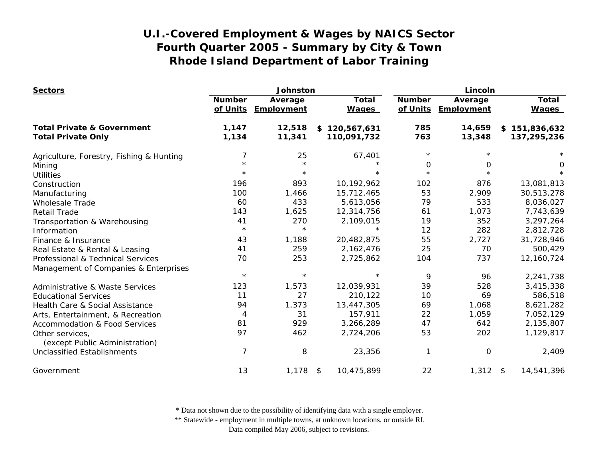| <b>Sectors</b>                                    |                           | Johnston              |                              | Lincoln                   |                       |                              |
|---------------------------------------------------|---------------------------|-----------------------|------------------------------|---------------------------|-----------------------|------------------------------|
|                                                   | <b>Number</b><br>of Units | Average<br>Employment | <b>Total</b><br><b>Wages</b> | <b>Number</b><br>of Units | Average<br>Employment | <b>Total</b><br><b>Wages</b> |
| <b>Total Private &amp; Government</b>             | 1,147                     | 12,518                | \$120,567,631                | 785                       | 14,659                | \$151,836,632                |
| <b>Total Private Only</b>                         | 1,134                     | 11,341                | 110,091,732                  | 763                       | 13,348                | 137,295,236                  |
| Agriculture, Forestry, Fishing & Hunting          | 7                         | 25                    | 67,401                       | $\star$                   |                       |                              |
| Mining                                            |                           | $\star$               | $^\star$                     | 0                         | 0                     | 0                            |
| <b>Utilities</b>                                  | $\star$                   | $\star$               | $^\star$                     | $\star$                   |                       | $\star$                      |
| Construction                                      | 196                       | 893                   | 10,192,962                   | 102                       | 876                   | 13,081,813                   |
| Manufacturing                                     | 100                       | 1,466                 | 15,712,465                   | 53                        | 2,909                 | 30,513,278                   |
| <b>Wholesale Trade</b>                            | 60                        | 433                   | 5,613,056                    | 79                        | 533                   | 8,036,027                    |
| <b>Retail Trade</b>                               | 143                       | 1,625                 | 12,314,756                   | 61                        | 1,073                 | 7,743,639                    |
| Transportation & Warehousing                      | 41                        | 270                   | 2,109,015                    | 19                        | 352                   | 3,297,264                    |
| Information                                       | $\star$                   | $\star$               |                              | 12                        | 282                   | 2,812,728                    |
| Finance & Insurance                               | 43                        | 1,188                 | 20,482,875                   | 55                        | 2,727                 | 31,728,946                   |
| Real Estate & Rental & Leasing                    | 41                        | 259                   | 2,162,476                    | 25                        | 70                    | 500,429                      |
| Professional & Technical Services                 | 70                        | 253                   | 2,725,862                    | 104                       | 737                   | 12,160,724                   |
| Management of Companies & Enterprises             |                           |                       |                              |                           |                       |                              |
|                                                   | $\star$                   | $\star$               | $^\star$                     | 9                         | 96                    | 2,241,738                    |
| <b>Administrative &amp; Waste Services</b>        | 123                       | 1,573                 | 12,039,931                   | 39                        | 528                   | 3,415,338                    |
| <b>Educational Services</b>                       | 11                        | 27                    | 210,122                      | 10                        | 69                    | 586,518                      |
| Health Care & Social Assistance                   | 94                        | 1,373                 | 13,447,305                   | 69                        | 1,068                 | 8,621,282                    |
| Arts, Entertainment, & Recreation                 | $\overline{4}$            | 31                    | 157,911                      | 22                        | 1,059                 | 7,052,129                    |
| Accommodation & Food Services                     | 81                        | 929                   | 3,266,289                    | 47                        | 642                   | 2,135,807                    |
| Other services,<br>(except Public Administration) | 97                        | 462                   | 2,724,206                    | 53                        | 202                   | 1,129,817                    |
| <b>Unclassified Establishments</b>                | $\overline{7}$            | 8                     | 23,356                       | 1                         | 0                     | 2,409                        |
| Government                                        | 13                        | $1,178$ \$            | 10,475,899                   | 22                        | $1,312$ \$            | 14,541,396                   |

\* Data not shown due to the possibility of identifying data with a single employer.

\*\* Statewide - employment in multiple towns, at unknown locations, or outside RI.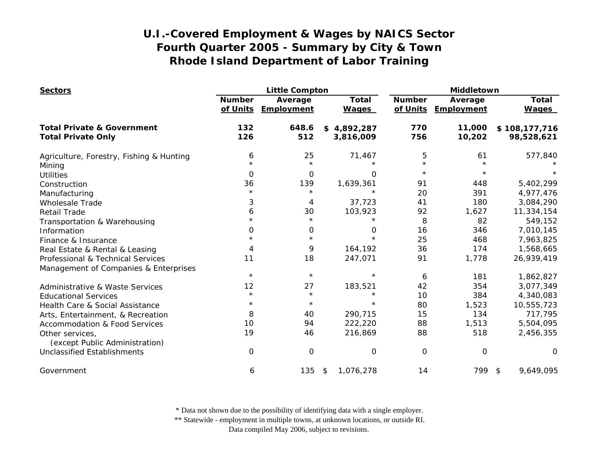| <b>Sectors</b>                                                     |                           | <b>Little Compton</b> |                              | Middletown                |                              |                              |
|--------------------------------------------------------------------|---------------------------|-----------------------|------------------------------|---------------------------|------------------------------|------------------------------|
|                                                                    | <b>Number</b><br>of Units | Average<br>Employment | <b>Total</b><br><b>Wages</b> | <b>Number</b><br>of Units | Average<br><b>Employment</b> | <b>Total</b><br><b>Wages</b> |
| <b>Total Private &amp; Government</b><br><b>Total Private Only</b> | 132<br>126                | 648.6<br>512          | \$4,892,287<br>3,816,009     | 770<br>756                | 11,000<br>10,202             | \$108,177,716<br>98,528,621  |
|                                                                    |                           |                       |                              |                           |                              |                              |
| Agriculture, Forestry, Fishing & Hunting                           | 6                         | 25                    | 71,467                       | 5                         | 61                           | 577,840                      |
| Mining                                                             | $\star$                   | $\star$               |                              | $\star$                   |                              |                              |
| <b>Utilities</b>                                                   | 0                         | 0                     | O                            | $\star$                   | $\star$                      |                              |
| Construction                                                       | 36                        | 139                   | 1,639,361                    | 91                        | 448                          | 5,402,299                    |
| Manufacturing                                                      | $\star$                   | $\star$               | $\star$                      | 20                        | 391                          | 4,977,476                    |
| <b>Wholesale Trade</b>                                             | 3                         | 4                     | 37,723                       | 41                        | 180                          | 3,084,290                    |
| <b>Retail Trade</b>                                                | 6                         | 30                    | 103,923                      | 92                        | 1,627                        | 11,334,154                   |
| Transportation & Warehousing                                       | $\star$                   | $\star$               |                              | 8                         | 82                           | 549,152                      |
| Information                                                        | 0                         | 0                     | 0                            | 16                        | 346                          | 7,010,145                    |
| Finance & Insurance                                                | $\star$                   | $\star$               | $\star$                      | 25                        | 468                          | 7,963,825                    |
| Real Estate & Rental & Leasing                                     | 4                         | 9                     | 164,192                      | 36                        | 174                          | 1,568,665                    |
| Professional & Technical Services                                  | 11                        | 18                    | 247,071                      | 91                        | 1,778                        | 26,939,419                   |
| Management of Companies & Enterprises                              |                           |                       |                              |                           |                              |                              |
|                                                                    | $\star$                   | $\star$               | $\star$                      | 6                         | 181                          | 1,862,827                    |
| <b>Administrative &amp; Waste Services</b>                         | 12                        | 27                    | 183,521                      | 42                        | 354                          | 3,077,349                    |
| <b>Educational Services</b>                                        | $\star$                   | $\star$               | $\star$                      | 10                        | 384                          | 4,340,083                    |
| Health Care & Social Assistance                                    | $\star$                   | $\star$               | $\star$                      | 80                        | 1,523                        | 10,555,723                   |
| Arts, Entertainment, & Recreation                                  | 8                         | 40                    | 290,715                      | 15                        | 134                          | 717,795                      |
| <b>Accommodation &amp; Food Services</b>                           | 10                        | 94                    | 222,220                      | 88                        | 1,513                        | 5,504,095                    |
| Other services,<br>(except Public Administration)                  | 19                        | 46                    | 216,869                      | 88                        | 518                          | 2,456,355                    |
| <b>Unclassified Establishments</b>                                 | 0                         | O                     | 0                            | O                         | 0                            | $\Omega$                     |
| Government                                                         | 6                         | 135                   | \$<br>1,076,278              | 14                        | 799 \$                       | 9,649,095                    |

\* Data not shown due to the possibility of identifying data with a single employer.

\*\* Statewide - employment in multiple towns, at unknown locations, or outside RI.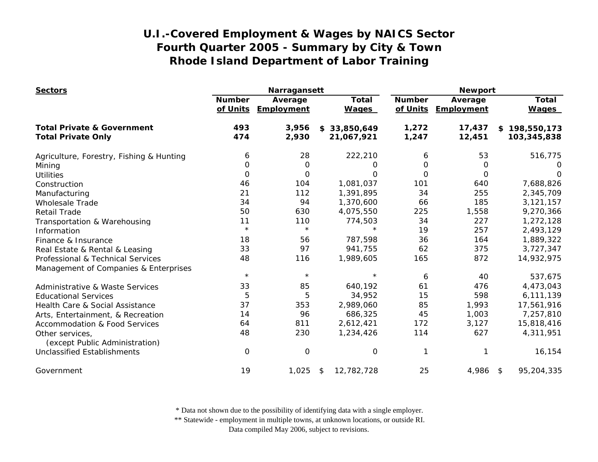| <b>Sectors</b>                                    |                           | Narragansett          |                              | <b>Newport</b>            |                       |                              |
|---------------------------------------------------|---------------------------|-----------------------|------------------------------|---------------------------|-----------------------|------------------------------|
|                                                   | <b>Number</b><br>of Units | Average<br>Employment | <b>Total</b><br><b>Wages</b> | <b>Number</b><br>of Units | Average<br>Employment | <b>Total</b><br><b>Wages</b> |
| <b>Total Private &amp; Government</b>             | 493                       | 3,956                 | \$33,850,649                 | 1,272                     | 17,437                | \$198,550,173                |
| <b>Total Private Only</b>                         | 474                       | 2,930                 | 21,067,921                   | 1,247                     | 12,451                | 103,345,838                  |
| Agriculture, Forestry, Fishing & Hunting          | 6                         | 28                    | 222,210                      | 6                         | 53                    | 516,775                      |
| Mining                                            | 0                         | 0                     | 0                            | 0                         | 0                     | O                            |
| <b>Utilities</b>                                  | $\Omega$                  | 0                     | O                            | $\Omega$                  | $\Omega$              | ∩                            |
| Construction                                      | 46                        | 104                   | 1,081,037                    | 101                       | 640                   | 7,688,826                    |
| Manufacturing                                     | 21                        | 112                   | 1,391,895                    | 34                        | 255                   | 2,345,709                    |
| <b>Wholesale Trade</b>                            | 34                        | 94                    | 1,370,600                    | 66                        | 185                   | 3,121,157                    |
| <b>Retail Trade</b>                               | 50                        | 630                   | 4,075,550                    | 225                       | 1,558                 | 9,270,366                    |
| Transportation & Warehousing                      | 11                        | 110                   | 774,503                      | 34                        | 227                   | 1,272,128                    |
| Information                                       | $\star$                   | $\star$               |                              | 19                        | 257                   | 2,493,129                    |
| Finance & Insurance                               | 18                        | 56                    | 787,598                      | 36                        | 164                   | 1,889,322                    |
| Real Estate & Rental & Leasing                    | 33                        | 97                    | 941,755                      | 62                        | 375                   | 3,727,347                    |
| Professional & Technical Services                 | 48                        | 116                   | 1,989,605                    | 165                       | 872                   | 14,932,975                   |
| Management of Companies & Enterprises             |                           |                       |                              |                           |                       |                              |
|                                                   | $\star$                   | $\star$               | $\star$                      | 6                         | 40                    | 537,675                      |
| Administrative & Waste Services                   | 33                        | 85                    | 640,192                      | 61                        | 476                   | 4,473,043                    |
| <b>Educational Services</b>                       | 5                         | 5                     | 34,952                       | 15                        | 598                   | 6,111,139                    |
| Health Care & Social Assistance                   | 37                        | 353                   | 2,989,060                    | 85                        | 1,993                 | 17,561,916                   |
| Arts, Entertainment, & Recreation                 | 14                        | 96                    | 686,325                      | 45                        | 1,003                 | 7,257,810                    |
| <b>Accommodation &amp; Food Services</b>          | 64                        | 811                   | 2,612,421                    | 172                       | 3,127                 | 15,818,416                   |
| Other services,<br>(except Public Administration) | 48                        | 230                   | 1,234,426                    | 114                       | 627                   | 4,311,951                    |
| <b>Unclassified Establishments</b>                | 0                         | $\mathbf 0$           | $\mathbf 0$                  | 1                         |                       | 16,154                       |
| Government                                        | 19                        | 1,025                 | 12,782,728<br>\$             | 25                        | 4,986                 | 95,204,335<br>$\sqrt{3}$     |

\* Data not shown due to the possibility of identifying data with a single employer.

\*\* Statewide - employment in multiple towns, at unknown locations, or outside RI.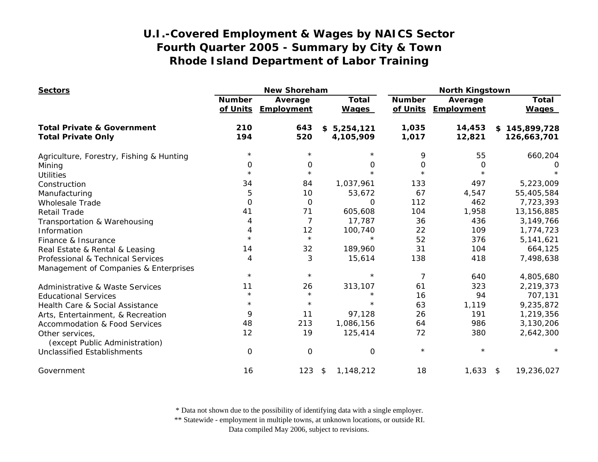| <b>Sectors</b>                                                     |                           | <b>New Shoreham</b>   |                              | <b>North Kingstown</b>    |                       |                                  |
|--------------------------------------------------------------------|---------------------------|-----------------------|------------------------------|---------------------------|-----------------------|----------------------------------|
|                                                                    | <b>Number</b><br>of Units | Average<br>Employment | <b>Total</b><br><b>Wages</b> | <b>Number</b><br>of Units | Average<br>Employment | Total<br><b>Wages</b>            |
| <b>Total Private &amp; Government</b><br><b>Total Private Only</b> | 210<br>194                | 643<br>520            | \$5,254,121<br>4,105,909     | 1,035<br>1,017            | 14,453<br>12,821      | 145,899,728<br>\$<br>126,663,701 |
| Agriculture, Forestry, Fishing & Hunting                           | $^\star$                  | $\star$               |                              | 9                         | 55                    | 660,204                          |
| Mining                                                             | 0                         | 0                     | 0                            | 0                         | O                     |                                  |
| <b>Utilities</b>                                                   | $\star$                   | $\star$               | $\star$                      | $\star$                   |                       |                                  |
| Construction                                                       | 34                        | 84                    | 1,037,961                    | 133                       | 497                   | 5,223,009                        |
| Manufacturing                                                      | 5                         | 10                    | 53,672                       | 67                        | 4,547                 | 55,405,584                       |
| <b>Wholesale Trade</b>                                             | $\mathbf 0$               | $\Omega$              | $\Omega$                     | 112                       | 462                   | 7,723,393                        |
| <b>Retail Trade</b>                                                | 41                        | 71                    | 605,608                      | 104                       | 1,958                 | 13,156,885                       |
| Transportation & Warehousing                                       | 4                         | 7                     | 17,787                       | 36                        | 436                   | 3,149,766                        |
| Information                                                        | 4                         | 12                    | 100,740                      | 22                        | 109                   | 1,774,723                        |
| Finance & Insurance                                                | $\star$                   | $\star$               | $\star$                      | 52                        | 376                   | 5,141,621                        |
| Real Estate & Rental & Leasing                                     | 14                        | 32                    | 189,960                      | 31                        | 104                   | 664,125                          |
| Professional & Technical Services                                  | 4                         | 3                     | 15,614                       | 138                       | 418                   | 7,498,638                        |
| Management of Companies & Enterprises                              |                           |                       |                              |                           |                       |                                  |
|                                                                    | $\star$                   | $\star$               | $^\star$                     | 7                         | 640                   | 4,805,680                        |
| Administrative & Waste Services                                    | 11                        | 26                    | 313,107                      | 61                        | 323                   | 2,219,373                        |
| <b>Educational Services</b>                                        | $^\star$                  | $\star$               | $\star$                      | 16                        | 94                    | 707,131                          |
| Health Care & Social Assistance                                    | $^\star$                  | $\star$               | $\star$                      | 63                        | 1,119                 | 9,235,872                        |
| Arts, Entertainment, & Recreation                                  | 9                         | 11                    | 97,128                       | 26                        | 191                   | 1,219,356                        |
| <b>Accommodation &amp; Food Services</b>                           | 48                        | 213                   | 1,086,156                    | 64                        | 986                   | 3,130,206                        |
| Other services,<br>(except Public Administration)                  | 12                        | 19                    | 125,414                      | 72                        | 380                   | 2,642,300                        |
| <b>Unclassified Establishments</b>                                 | $\mathbf 0$               | 0                     | O                            | $\star$                   | $\star$               |                                  |
| Government                                                         | 16                        | 123                   | 1,148,212<br>\$              | 18                        | 1,633                 | 19,236,027<br>$\sqrt{3}$         |

\* Data not shown due to the possibility of identifying data with a single employer.

\*\* Statewide - employment in multiple towns, at unknown locations, or outside RI.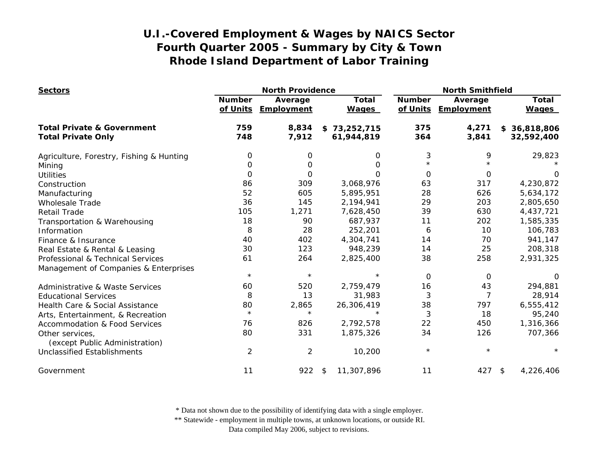| <b>Sectors</b>                                                       | <b>North Providence</b>   |                       |                              |                           | <b>North Smithfield</b> |                              |  |
|----------------------------------------------------------------------|---------------------------|-----------------------|------------------------------|---------------------------|-------------------------|------------------------------|--|
|                                                                      | <b>Number</b><br>of Units | Average<br>Employment | <b>Total</b><br><b>Wages</b> | <b>Number</b><br>of Units | Average<br>Employment   | <b>Total</b><br><b>Wages</b> |  |
| <b>Total Private &amp; Government</b>                                | 759                       | 8,834                 | \$73,252,715                 | 375                       | 4,271                   | \$36,818,806                 |  |
| <b>Total Private Only</b>                                            | 748                       | 7,912                 | 61,944,819                   | 364                       | 3,841                   | 32,592,400                   |  |
| Agriculture, Forestry, Fishing & Hunting                             | 0                         | 0                     | 0                            | 3                         | 9                       | 29,823                       |  |
| Mining                                                               | 0                         | O                     | 0                            |                           |                         |                              |  |
| <b>Utilities</b>                                                     | 0                         | 0                     | 0                            | 0                         | 0                       | 0                            |  |
| Construction                                                         | 86                        | 309                   | 3,068,976                    | 63                        | 317                     | 4,230,872                    |  |
| Manufacturing                                                        | 52                        | 605                   | 5,895,951                    | 28                        | 626                     | 5,634,172                    |  |
| <b>Wholesale Trade</b>                                               | 36                        | 145                   | 2,194,941                    | 29                        | 203                     | 2,805,650                    |  |
| <b>Retail Trade</b>                                                  | 105                       | 1,271                 | 7,628,450                    | 39                        | 630                     | 4,437,721                    |  |
| Transportation & Warehousing                                         | 18                        | 90                    | 687,937                      | 11                        | 202                     | 1,585,335                    |  |
| Information                                                          | 8                         | 28                    | 252,201                      | 6                         | 10                      | 106,783                      |  |
| Finance & Insurance                                                  | 40                        | 402                   | 4,304,741                    | 14                        | 70                      | 941,147                      |  |
| Real Estate & Rental & Leasing                                       | 30                        | 123                   | 948,239                      | 14                        | 25                      | 208,318                      |  |
| Professional & Technical Services                                    | 61                        | 264                   | 2,825,400                    | 38                        | 258                     | 2,931,325                    |  |
| Management of Companies & Enterprises                                |                           |                       |                              |                           |                         |                              |  |
|                                                                      | $\star$                   | $\star$               | $\star$                      | $\Omega$                  | 0                       | O                            |  |
| Administrative & Waste Services                                      | 60                        | 520                   | 2,759,479                    | 16                        | 43                      | 294,881                      |  |
| <b>Educational Services</b>                                          | 8                         | 13                    | 31,983                       | 3                         | 7                       | 28,914                       |  |
| Health Care & Social Assistance                                      | 80                        | 2,865                 | 26,306,419                   | 38                        | 797                     | 6,555,412                    |  |
| Arts, Entertainment, & Recreation                                    | $\star$                   | $\star$               | $\star$                      | 3                         | 18                      | 95,240                       |  |
| <b>Accommodation &amp; Food Services</b>                             | 76                        | 826                   | 2,792,578                    | 22                        | 450                     | 1,316,366                    |  |
| Other services,                                                      | 80                        | 331                   | 1,875,326                    | 34                        | 126                     | 707,366                      |  |
| (except Public Administration)<br><b>Unclassified Establishments</b> | $\overline{2}$            | $\overline{2}$        | 10,200                       | $\star$                   | $^\star$                |                              |  |
| Government                                                           | 11                        | 922                   | 11,307,896<br>\$             | 11                        | $427$ \$                | 4,226,406                    |  |

\* Data not shown due to the possibility of identifying data with a single employer.

\*\* Statewide - employment in multiple towns, at unknown locations, or outside RI.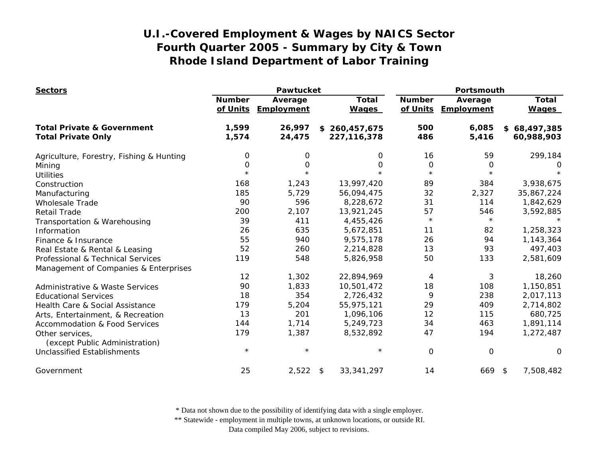| <b>Sectors</b>                                    | Pawtucket                 |                       |                              | Portsmouth                |                       |                              |
|---------------------------------------------------|---------------------------|-----------------------|------------------------------|---------------------------|-----------------------|------------------------------|
|                                                   | <b>Number</b><br>of Units | Average<br>Employment | <b>Total</b><br><b>Wages</b> | <b>Number</b><br>of Units | Average<br>Employment | <b>Total</b><br><b>Wages</b> |
| <b>Total Private &amp; Government</b>             | 1,599                     | 26,997                | \$260,457,675                | 500                       | 6,085                 | \$68,497,385                 |
| <b>Total Private Only</b>                         | 1,574                     | 24,475                | 227, 116, 378                | 486                       | 5,416                 | 60,988,903                   |
| Agriculture, Forestry, Fishing & Hunting          | 0                         | 0                     | 0                            | 16                        | 59                    | 299,184                      |
| Mining                                            | 0                         | 0                     | 0                            | $\mathbf 0$               | 0                     | O                            |
| <b>Utilities</b>                                  | $\star$                   | $\star$               | $\star$                      | $\star$                   | $\star$               |                              |
| Construction                                      | 168                       | 1,243                 | 13,997,420                   | 89                        | 384                   | 3,938,675                    |
| Manufacturing                                     | 185                       | 5,729                 | 56,094,475                   | 32                        | 2,327                 | 35,867,224                   |
| <b>Wholesale Trade</b>                            | 90                        | 596                   | 8,228,672                    | 31                        | 114                   | 1,842,629                    |
| <b>Retail Trade</b>                               | 200                       | 2,107                 | 13,921,245                   | 57                        | 546                   | 3,592,885                    |
| Transportation & Warehousing                      | 39                        | 411                   | 4,455,426                    | $\star$                   | $\star$               |                              |
| Information                                       | 26                        | 635                   | 5,672,851                    | 11                        | 82                    | 1,258,323                    |
| Finance & Insurance                               | 55                        | 940                   | 9,575,178                    | 26                        | 94                    | 1,143,364                    |
| Real Estate & Rental & Leasing                    | 52                        | 260                   | 2,214,828                    | 13                        | 93                    | 497,403                      |
| Professional & Technical Services                 | 119                       | 548                   | 5,826,958                    | 50                        | 133                   | 2,581,609                    |
| Management of Companies & Enterprises             |                           |                       |                              |                           |                       |                              |
|                                                   | 12                        | 1,302                 | 22,894,969                   | 4                         | 3                     | 18,260                       |
| <b>Administrative &amp; Waste Services</b>        | 90                        | 1,833                 | 10,501,472                   | 18                        | 108                   | 1,150,851                    |
| <b>Educational Services</b>                       | 18                        | 354                   | 2,726,432                    | 9                         | 238                   | 2,017,113                    |
| Health Care & Social Assistance                   | 179                       | 5,204                 | 55,975,121                   | 29                        | 409                   | 2,714,802                    |
| Arts, Entertainment, & Recreation                 | 13                        | 201                   | 1,096,106                    | 12                        | 115                   | 680,725                      |
| <b>Accommodation &amp; Food Services</b>          | 144                       | 1,714                 | 5,249,723                    | 34                        | 463                   | 1,891,114                    |
| Other services,<br>(except Public Administration) | 179                       | 1,387                 | 8,532,892                    | 47                        | 194                   | 1,272,487                    |
| <b>Unclassified Establishments</b>                | $\star$                   | $\star$               | $\star$                      | 0                         | $\mathsf{O}\xspace$   | O                            |
| Government                                        | 25                        | 2,522                 | \$<br>33, 341, 297           | 14                        | 669                   | 7,508,482<br>\$              |

\* Data not shown due to the possibility of identifying data with a single employer.

\*\* Statewide - employment in multiple towns, at unknown locations, or outside RI.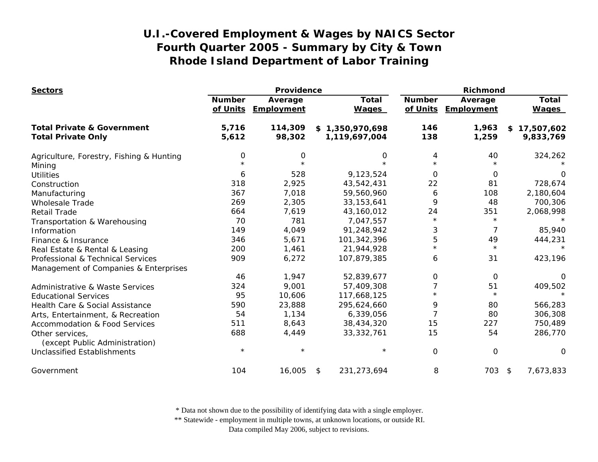| <b>Sectors</b>                                    | Providence                |                       |    |                              | <b>Richmond</b>           |                       |    |                              |
|---------------------------------------------------|---------------------------|-----------------------|----|------------------------------|---------------------------|-----------------------|----|------------------------------|
|                                                   | <b>Number</b><br>of Units | Average<br>Employment |    | <b>Total</b><br><b>Wages</b> | <b>Number</b><br>of Units | Average<br>Employment |    | <b>Total</b><br><b>Wages</b> |
|                                                   |                           |                       |    |                              |                           |                       |    |                              |
| <b>Total Private &amp; Government</b>             | 5,716                     | 114,309               |    | \$1,350,970,698              | 146                       | 1,963                 |    | \$17,507,602                 |
| <b>Total Private Only</b>                         | 5,612                     | 98,302                |    | 1,119,697,004                | 138                       | 1,259                 |    | 9,833,769                    |
| Agriculture, Forestry, Fishing & Hunting          | 0                         | 0                     |    | 0                            | 4                         | 40                    |    | 324,262                      |
| Mining                                            |                           |                       |    | $\star$                      | $\star$                   |                       |    |                              |
| <b>Utilities</b>                                  | 6                         | 528                   |    | 9,123,524                    | $\Omega$                  | $\Omega$              |    | 0                            |
| Construction                                      | 318                       | 2,925                 |    | 43,542,431                   | 22                        | 81                    |    | 728,674                      |
| Manufacturing                                     | 367                       | 7,018                 |    | 59,560,960                   | 6                         | 108                   |    | 2,180,604                    |
| <b>Wholesale Trade</b>                            | 269                       | 2,305                 |    | 33, 153, 641                 | 9                         | 48                    |    | 700,306                      |
| <b>Retail Trade</b>                               | 664                       | 7,619                 |    | 43,160,012                   | 24                        | 351                   |    | 2,068,998                    |
| Transportation & Warehousing                      | 70                        | 781                   |    | 7,047,557                    | $\star$                   | $\star$               |    |                              |
| Information                                       | 149                       | 4,049                 |    | 91,248,942                   | 3                         | 7                     |    | 85,940                       |
| Finance & Insurance                               | 346                       | 5,671                 |    | 101,342,396                  | 5                         | 49                    |    | 444,231                      |
| Real Estate & Rental & Leasing                    | 200                       | 1,461                 |    | 21,944,928                   | $\star$                   | $\star$               |    | $\star$                      |
| Professional & Technical Services                 | 909                       | 6,272                 |    | 107,879,385                  | 6                         | 31                    |    | 423,196                      |
| Management of Companies & Enterprises             |                           |                       |    |                              |                           |                       |    |                              |
|                                                   | 46                        | 1,947                 |    | 52,839,677                   | 0                         | 0                     |    | 0                            |
| <b>Administrative &amp; Waste Services</b>        | 324                       | 9,001                 |    | 57,409,308                   | 7                         | 51                    |    | 409,502                      |
| <b>Educational Services</b>                       | 95                        | 10,606                |    | 117,668,125                  | $\star$                   | $\star$               |    |                              |
| Health Care & Social Assistance                   | 590                       | 23,888                |    | 295,624,660                  | 9                         | 80                    |    | 566,283                      |
| Arts, Entertainment, & Recreation                 | 54                        | 1,134                 |    | 6,339,056                    |                           | 80                    |    | 306,308                      |
| <b>Accommodation &amp; Food Services</b>          | 511                       | 8,643                 |    | 38,434,320                   | 15                        | 227                   |    | 750,489                      |
| Other services,<br>(except Public Administration) | 688                       | 4,449                 |    | 33, 332, 761                 | 15                        | 54                    |    | 286,770                      |
| <b>Unclassified Establishments</b>                | $\star$                   | $\star$               |    | $\star$                      | 0                         | 0                     |    | 0                            |
| Government                                        | 104                       | 16,005                | \$ | 231,273,694                  | 8                         | 703                   | \$ | 7,673,833                    |

\* Data not shown due to the possibility of identifying data with a single employer.

\*\* Statewide - employment in multiple towns, at unknown locations, or outside RI.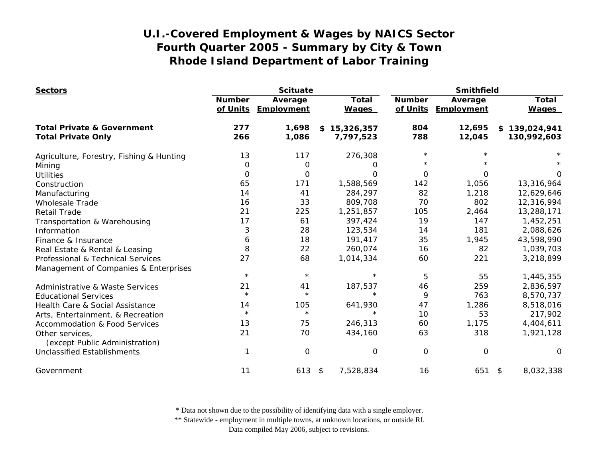| <b>Sectors</b>                                    | <b>Scituate</b>           |                       |                              | <b>Smithfield</b>         |                       |                              |
|---------------------------------------------------|---------------------------|-----------------------|------------------------------|---------------------------|-----------------------|------------------------------|
|                                                   | <b>Number</b><br>of Units | Average<br>Employment | <b>Total</b><br><b>Wages</b> | <b>Number</b><br>of Units | Average<br>Employment | <b>Total</b><br><b>Wages</b> |
| <b>Total Private &amp; Government</b>             | 277                       | 1,698                 | \$15,326,357                 | 804                       | 12,695                | \$139,024,941                |
| <b>Total Private Only</b>                         | 266                       | 1,086                 | 7,797,523                    | 788                       | 12,045                | 130,992,603                  |
| Agriculture, Forestry, Fishing & Hunting          | 13                        | 117                   | 276,308                      | $\star$                   |                       |                              |
| Mining                                            | $\mathbf 0$               | $\mathbf 0$           | Ő                            | $\star$                   |                       |                              |
| <b>Utilities</b>                                  | 0                         | 0                     | Ω                            | $\Omega$                  | $\Omega$              | 0                            |
| Construction                                      | 65                        | 171                   | 1,588,569                    | 142                       | 1,056                 | 13,316,964                   |
| Manufacturing                                     | 14                        | 41                    | 284,297                      | 82                        | 1,218                 | 12,629,646                   |
| <b>Wholesale Trade</b>                            | 16                        | 33                    | 809,708                      | 70                        | 802                   | 12,316,994                   |
| <b>Retail Trade</b>                               | 21                        | 225                   | 1,251,857                    | 105                       | 2,464                 | 13,288,171                   |
| Transportation & Warehousing                      | 17                        | 61                    | 397,424                      | 19                        | 147                   | 1,452,251                    |
| Information                                       | 3                         | 28                    | 123,534                      | 14                        | 181                   | 2,088,626                    |
| Finance & Insurance                               | 6                         | 18                    | 191,417                      | 35                        | 1,945                 | 43,598,990                   |
| Real Estate & Rental & Leasing                    | 8                         | 22                    | 260,074                      | 16                        | 82                    | 1,039,703                    |
| Professional & Technical Services                 | 27                        | 68                    | 1,014,334                    | 60                        | 221                   | 3,218,899                    |
| Management of Companies & Enterprises             |                           |                       |                              |                           |                       |                              |
|                                                   | $\star$                   | $\star$               | $\star$                      | 5                         | 55                    | 1,445,355                    |
| <b>Administrative &amp; Waste Services</b>        | 21                        | 41                    | 187,537                      | 46                        | 259                   | 2,836,597                    |
| <b>Educational Services</b>                       | $\star$                   | $\star$               | $\star$                      | 9                         | 763                   | 8,570,737                    |
| Health Care & Social Assistance                   | 14                        | 105                   | 641,930                      | 47                        | 1,286                 | 8,518,016                    |
| Arts, Entertainment, & Recreation                 | $\star$                   | $\star$               | $\star$                      | 10                        | 53                    | 217,902                      |
| <b>Accommodation &amp; Food Services</b>          | 13                        | 75                    | 246,313                      | 60                        | 1,175                 | 4,404,611                    |
| Other services,<br>(except Public Administration) | 21                        | 70                    | 434,160                      | 63                        | 318                   | 1,921,128                    |
| <b>Unclassified Establishments</b>                |                           | $\mathbf 0$           | $\mathbf 0$                  | 0                         | 0                     | O                            |
| Government                                        | 11                        | 613                   | 7,528,834<br>\$              | 16                        | 651                   | 8,032,338<br>$\sqrt{2}$      |

\* Data not shown due to the possibility of identifying data with a single employer.

\*\* Statewide - employment in multiple towns, at unknown locations, or outside RI.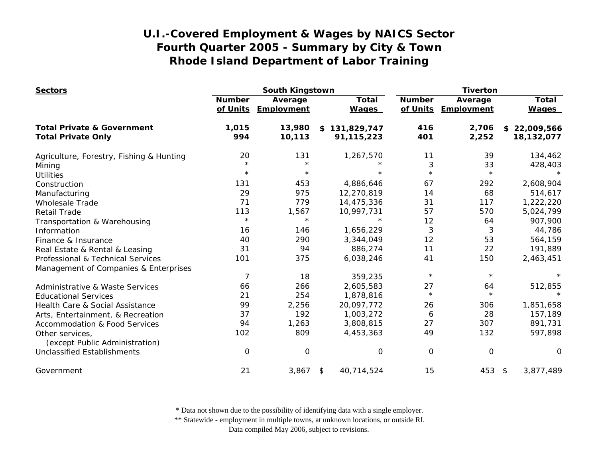| <b>Sectors</b>                                    | South Kingstown           |                       |                              | <b>Tiverton</b>           |                       |                              |
|---------------------------------------------------|---------------------------|-----------------------|------------------------------|---------------------------|-----------------------|------------------------------|
|                                                   | <b>Number</b><br>of Units | Average<br>Employment | <b>Total</b><br><b>Wages</b> | <b>Number</b><br>of Units | Average<br>Employment | <b>Total</b><br><b>Wages</b> |
| <b>Total Private &amp; Government</b>             | 1,015                     | 13,980                | \$131,829,747                | 416                       | 2,706                 | \$22,009,566                 |
| <b>Total Private Only</b>                         | 994                       | 10,113                | 91,115,223                   | 401                       | 2,252                 | 18,132,077                   |
| Agriculture, Forestry, Fishing & Hunting          | 20                        | 131                   | 1,267,570                    | 11                        | 39                    | 134,462                      |
| Mining                                            | $\star$                   | $\star$               |                              | 3                         | 33                    | 428,403                      |
| <b>Utilities</b>                                  | $\star$                   | $\star$               |                              | $\star$                   | $\star$               |                              |
| Construction                                      | 131                       | 453                   | 4,886,646                    | 67                        | 292                   | 2,608,904                    |
| Manufacturing                                     | 29                        | 975                   | 12,270,819                   | 14                        | 68                    | 514,617                      |
| <b>Wholesale Trade</b>                            | 71                        | 779                   | 14,475,336                   | 31                        | 117                   | 1,222,220                    |
| <b>Retail Trade</b>                               | 113                       | 1,567                 | 10,997,731                   | 57                        | 570                   | 5,024,799                    |
| Transportation & Warehousing                      | $\star$                   | $\star$               | $\star$                      | 12                        | 64                    | 907,900                      |
| Information                                       | 16                        | 146                   | 1,656,229                    | 3                         | 3                     | 44,786                       |
| Finance & Insurance                               | 40                        | 290                   | 3,344,049                    | 12                        | 53                    | 564,159                      |
| Real Estate & Rental & Leasing                    | 31                        | 94                    | 886,274                      | 11                        | 22                    | 191,889                      |
| Professional & Technical Services                 | 101                       | 375                   | 6,038,246                    | 41                        | 150                   | 2,463,451                    |
| Management of Companies & Enterprises             |                           |                       |                              |                           |                       |                              |
|                                                   | 7                         | 18                    | 359,235                      | $\star$                   | $\star$               |                              |
| <b>Administrative &amp; Waste Services</b>        | 66                        | 266                   | 2,605,583                    | 27                        | 64                    | 512,855                      |
| <b>Educational Services</b>                       | 21                        | 254                   | 1,878,816                    | $\star$                   | $\star$               | $\star$                      |
| Health Care & Social Assistance                   | 99                        | 2,256                 | 20,097,772                   | 26                        | 306                   | 1,851,658                    |
| Arts, Entertainment, & Recreation                 | 37                        | 192                   | 1,003,272                    | 6                         | 28                    | 157,189                      |
| <b>Accommodation &amp; Food Services</b>          | 94                        | 1,263                 | 3,808,815                    | 27                        | 307                   | 891,731                      |
| Other services,<br>(except Public Administration) | 102                       | 809                   | 4,453,363                    | 49                        | 132                   | 597,898                      |
| <b>Unclassified Establishments</b>                | 0                         | $\mathbf 0$           | 0                            | 0                         | $\mathbf 0$           | O                            |
| Government                                        | 21                        | 3,867                 | 40,714,524<br>\$             | 15                        | 453                   | 3,877,489<br>\$              |

\* Data not shown due to the possibility of identifying data with a single employer.

\*\* Statewide - employment in multiple towns, at unknown locations, or outside RI.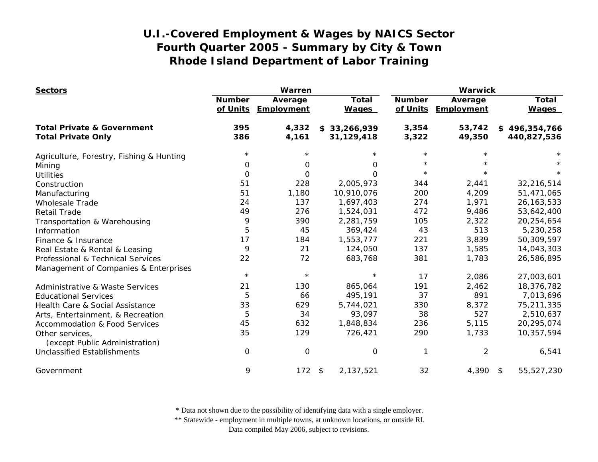| <b>Sectors</b>                                    | Warren                    |                       |                              | <b>Warwick</b>            |                       |                              |
|---------------------------------------------------|---------------------------|-----------------------|------------------------------|---------------------------|-----------------------|------------------------------|
|                                                   | <b>Number</b><br>of Units | Average<br>Employment | <b>Total</b><br><b>Wages</b> | <b>Number</b><br>of Units | Average<br>Employment | <b>Total</b><br><b>Wages</b> |
| <b>Total Private &amp; Government</b>             | 395                       | 4,332                 | \$33,266,939                 | 3,354                     | 53,742                | \$496,354,766                |
| <b>Total Private Only</b>                         | 386                       | 4,161                 | 31,129,418                   | 3,322                     | 49,350                | 440,827,536                  |
| Agriculture, Forestry, Fishing & Hunting          | $\star$                   |                       |                              | $\star$                   |                       |                              |
| Mining                                            | 0                         | 0                     | 0                            | $\star$                   |                       |                              |
| <b>Utilities</b>                                  | 0                         | 0                     | 0                            | $\star$                   |                       |                              |
| Construction                                      | 51                        | 228                   | 2,005,973                    | 344                       | 2,441                 | 32,216,514                   |
| Manufacturing                                     | 51                        | 1,180                 | 10,910,076                   | 200                       | 4,209                 | 51,471,065                   |
| <b>Wholesale Trade</b>                            | 24                        | 137                   | 1,697,403                    | 274                       | 1,971                 | 26, 163, 533                 |
| <b>Retail Trade</b>                               | 49                        | 276                   | 1,524,031                    | 472                       | 9,486                 | 53,642,400                   |
| Transportation & Warehousing                      | 9                         | 390                   | 2,281,759                    | 105                       | 2,322                 | 20,254,654                   |
| Information                                       | 5                         | 45                    | 369,424                      | 43                        | 513                   | 5,230,258                    |
| Finance & Insurance                               | 17                        | 184                   | 1,553,777                    | 221                       | 3,839                 | 50,309,597                   |
| Real Estate & Rental & Leasing                    | 9                         | 21                    | 124,050                      | 137                       | 1,585                 | 14,043,303                   |
| Professional & Technical Services                 | 22                        | 72                    | 683,768                      | 381                       | 1,783                 | 26,586,895                   |
| Management of Companies & Enterprises             |                           |                       |                              |                           |                       |                              |
|                                                   | $\star$                   | $\star$               | $\star$                      | 17                        | 2,086                 | 27,003,601                   |
| Administrative & Waste Services                   | 21                        | 130                   | 865,064                      | 191                       | 2,462                 | 18,376,782                   |
| <b>Educational Services</b>                       | 5                         | 66                    | 495,191                      | 37                        | 891                   | 7,013,696                    |
| Health Care & Social Assistance                   | 33                        | 629                   | 5,744,021                    | 330                       | 8,372                 | 75,211,335                   |
| Arts, Entertainment, & Recreation                 | 5                         | 34                    | 93,097                       | 38                        | 527                   | 2,510,637                    |
| <b>Accommodation &amp; Food Services</b>          | 45                        | 632                   | 1,848,834                    | 236                       | 5,115                 | 20,295,074                   |
| Other services,<br>(except Public Administration) | 35                        | 129                   | 726,421                      | 290                       | 1,733                 | 10,357,594                   |
| <b>Unclassified Establishments</b>                | 0                         | $\mathbf 0$           | 0                            | 1                         | 2                     | 6,541                        |
| Government                                        | 9                         | 172                   | 2,137,521<br>\$              | 32                        | 4,390 \$              | 55,527,230                   |

\* Data not shown due to the possibility of identifying data with a single employer.

\*\* Statewide - employment in multiple towns, at unknown locations, or outside RI.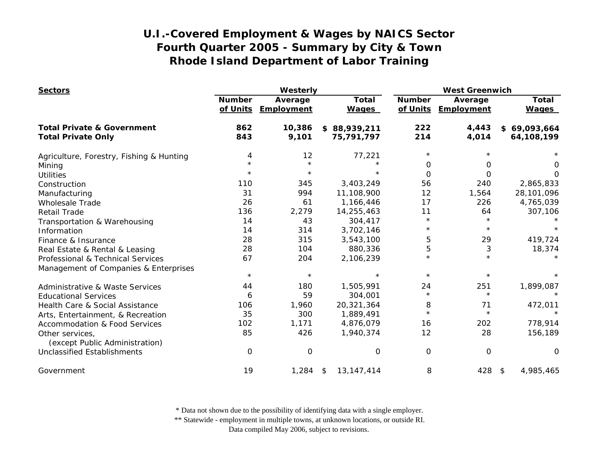| <b>Sectors</b>                                    | Westerly                  |                              |                              | <b>West Greenwich</b>     |                       |                              |
|---------------------------------------------------|---------------------------|------------------------------|------------------------------|---------------------------|-----------------------|------------------------------|
|                                                   | <b>Number</b><br>of Units | Average<br><b>Employment</b> | <b>Total</b><br><b>Wages</b> | <b>Number</b><br>of Units | Average<br>Employment | <b>Total</b><br><b>Wages</b> |
| <b>Total Private &amp; Government</b>             | 862                       | 10,386                       | \$88,939,211                 | 222                       | 4,443                 | \$69,093,664                 |
| <b>Total Private Only</b>                         | 843                       | 9,101                        | 75,791,797                   | 214                       | 4,014                 | 64,108,199                   |
| Agriculture, Forestry, Fishing & Hunting          | 4                         | 12                           | 77,221                       | $\star$                   |                       |                              |
| Mining                                            | $\star$                   | $\star$                      | $\star$                      | 0                         | 0                     | 0                            |
| <b>Utilities</b>                                  | $\star$                   | $\star$                      |                              | $\Omega$                  | 0                     | O                            |
| Construction                                      | 110                       | 345                          | 3,403,249                    | 56                        | 240                   | 2,865,833                    |
| Manufacturing                                     | 31                        | 994                          | 11,108,900                   | 12                        | 1,564                 | 28,101,096                   |
| <b>Wholesale Trade</b>                            | 26                        | 61                           | 1,166,446                    | 17                        | 226                   | 4,765,039                    |
| <b>Retail Trade</b>                               | 136                       | 2,279                        | 14,255,463                   | 11                        | 64                    | 307,106                      |
| Transportation & Warehousing                      | 14                        | 43                           | 304,417                      | $\star$                   | $\star$               |                              |
| Information                                       | 14                        | 314                          | 3,702,146                    | $\star$                   | $\star$               |                              |
| Finance & Insurance                               | 28                        | 315                          | 3,543,100                    | 5                         | 29                    | 419,724                      |
| Real Estate & Rental & Leasing                    | 28                        | 104                          | 880,336                      | 5                         | 3                     | 18,374                       |
| Professional & Technical Services                 | 67                        | 204                          | 2,106,239                    | $\star$                   | $\star$               |                              |
| Management of Companies & Enterprises             |                           |                              |                              |                           |                       |                              |
|                                                   | $\star$                   | $\star$                      | $\star$                      | $\star$                   | $\star$               |                              |
| <b>Administrative &amp; Waste Services</b>        | 44                        | 180                          | 1,505,991                    | 24                        | 251                   | 1,899,087                    |
| <b>Educational Services</b>                       | 6                         | 59                           | 304,001                      | $\star$                   | $\star$               |                              |
| Health Care & Social Assistance                   | 106                       | 1,960                        | 20,321,364                   | 8                         | 71                    | 472,011                      |
| Arts, Entertainment, & Recreation                 | 35                        | 300                          | 1,889,491                    | $\star$                   | $\star$               |                              |
| <b>Accommodation &amp; Food Services</b>          | 102                       | 1,171                        | 4,876,079                    | 16                        | 202                   | 778,914                      |
| Other services,<br>(except Public Administration) | 85                        | 426                          | 1,940,374                    | 12                        | 28                    | 156,189                      |
| <b>Unclassified Establishments</b>                | $\mathbf 0$               | 0                            | 0                            | $\overline{0}$            | $\mathbf 0$           | 0                            |
| Government                                        | 19                        | 1,284                        | 13, 147, 414<br>\$           | 8                         | 428                   | 4,985,465<br>\$              |

\* Data not shown due to the possibility of identifying data with a single employer.

\*\* Statewide - employment in multiple towns, at unknown locations, or outside RI.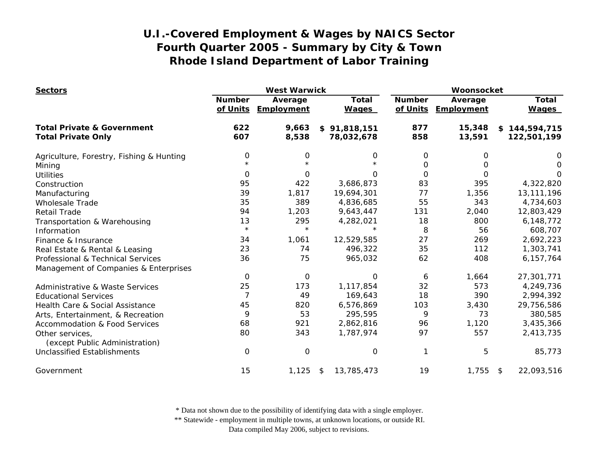| <b>Sectors</b>                                    | <b>West Warwick</b>       |                       |                              | Woonsocket                |                       |                              |
|---------------------------------------------------|---------------------------|-----------------------|------------------------------|---------------------------|-----------------------|------------------------------|
|                                                   | <b>Number</b><br>of Units | Average<br>Employment | <b>Total</b><br><b>Wages</b> | <b>Number</b><br>of Units | Average<br>Employment | <b>Total</b><br><b>Wages</b> |
| <b>Total Private &amp; Government</b>             | 622                       | 9,663                 | \$91,818,151                 | 877                       | 15,348                | \$144,594,715                |
| <b>Total Private Only</b>                         | 607                       | 8,538                 | 78,032,678                   | 858                       | 13,591                | 122,501,199                  |
| Agriculture, Forestry, Fishing & Hunting          | $\mathbf 0$               | 0                     | 0                            | 0                         | 0                     | O                            |
| Mining                                            | $\star$                   |                       | $\star$                      | 0                         | Ο                     | 0                            |
| <b>Utilities</b>                                  | 0                         | 0                     | 0                            | 0                         | $\Omega$              | O                            |
| Construction                                      | 95                        | 422                   | 3,686,873                    | 83                        | 395                   | 4,322,820                    |
| Manufacturing                                     | 39                        | 1,817                 | 19,694,301                   | 77                        | 1,356                 | 13, 111, 196                 |
| <b>Wholesale Trade</b>                            | 35                        | 389                   | 4,836,685                    | 55                        | 343                   | 4,734,603                    |
| <b>Retail Trade</b>                               | 94                        | 1,203                 | 9,643,447                    | 131                       | 2,040                 | 12,803,429                   |
| Transportation & Warehousing                      | 13                        | 295                   | 4,282,021                    | 18                        | 800                   | 6,148,772                    |
| Information                                       | $\star$                   | $\star$               |                              | 8                         | 56                    | 608,707                      |
| Finance & Insurance                               | 34                        | 1,061                 | 12,529,585                   | 27                        | 269                   | 2,692,223                    |
| Real Estate & Rental & Leasing                    | 23                        | 74                    | 496,322                      | 35                        | 112                   | 1,303,741                    |
| Professional & Technical Services                 | 36                        | 75                    | 965,032                      | 62                        | 408                   | 6, 157, 764                  |
| Management of Companies & Enterprises             |                           |                       |                              |                           |                       |                              |
|                                                   | 0                         | $\mathbf 0$           | $\Omega$                     | 6                         | 1,664                 | 27,301,771                   |
| Administrative & Waste Services                   | 25                        | 173                   | 1,117,854                    | 32                        | 573                   | 4,249,736                    |
| <b>Educational Services</b>                       | 7                         | 49                    | 169,643                      | 18                        | 390                   | 2,994,392                    |
| Health Care & Social Assistance                   | 45                        | 820                   | 6,576,869                    | 103                       | 3,430                 | 29,756,586                   |
| Arts, Entertainment, & Recreation                 | 9                         | 53                    | 295,595                      | 9                         | 73                    | 380,585                      |
| <b>Accommodation &amp; Food Services</b>          | 68                        | 921                   | 2,862,816                    | 96                        | 1,120                 | 3,435,366                    |
| Other services,<br>(except Public Administration) | 80                        | 343                   | 1,787,974                    | 97                        | 557                   | 2,413,735                    |
| <b>Unclassified Establishments</b>                | 0                         | 0                     | 0                            | 1                         | 5                     | 85,773                       |
| Government                                        | 15                        | 1,125                 | 13,785,473<br>\$             | 19                        | 1,755                 | 22,093,516<br>$\sqrt{3}$     |

\* Data not shown due to the possibility of identifying data with a single employer.

\*\* Statewide - employment in multiple towns, at unknown locations, or outside RI.